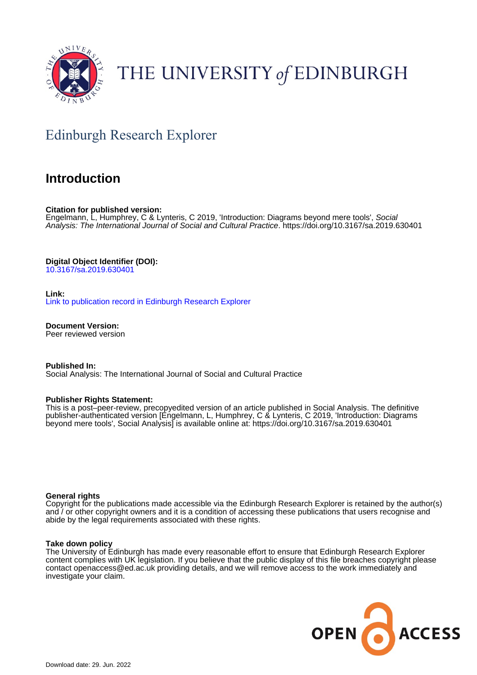

# THE UNIVERSITY of EDINBURGH

# Edinburgh Research Explorer

## **Introduction**

**Citation for published version:**

Engelmann, L, Humphrey, C & Lynteris, C 2019, 'Introduction: Diagrams beyond mere tools', Social Analysis: The International Journal of Social and Cultural Practice. <https://doi.org/10.3167/sa.2019.630401>

**Digital Object Identifier (DOI):**

[10.3167/sa.2019.630401](https://doi.org/10.3167/sa.2019.630401)

**Link:**

[Link to publication record in Edinburgh Research Explorer](https://www.research.ed.ac.uk/en/publications/27183ac4-7a64-4355-a80b-15e404bcaa13)

**Document Version:** Peer reviewed version

**Published In:** Social Analysis: The International Journal of Social and Cultural Practice

#### **Publisher Rights Statement:**

This is a post–peer-review, precopyedited version of an article published in Social Analysis. The definitive publisher-authenticated version [Engelmann, L, Humphrey, C & Lynteris, C 2019, 'Introduction: Diagrams beyond mere tools', Social Analysis] is available online at: https://doi.org/10.3167/sa.2019.630401

#### **General rights**

Copyright for the publications made accessible via the Edinburgh Research Explorer is retained by the author(s) and / or other copyright owners and it is a condition of accessing these publications that users recognise and abide by the legal requirements associated with these rights.

#### **Take down policy**

The University of Edinburgh has made every reasonable effort to ensure that Edinburgh Research Explorer content complies with UK legislation. If you believe that the public display of this file breaches copyright please contact openaccess@ed.ac.uk providing details, and we will remove access to the work immediately and investigate your claim.

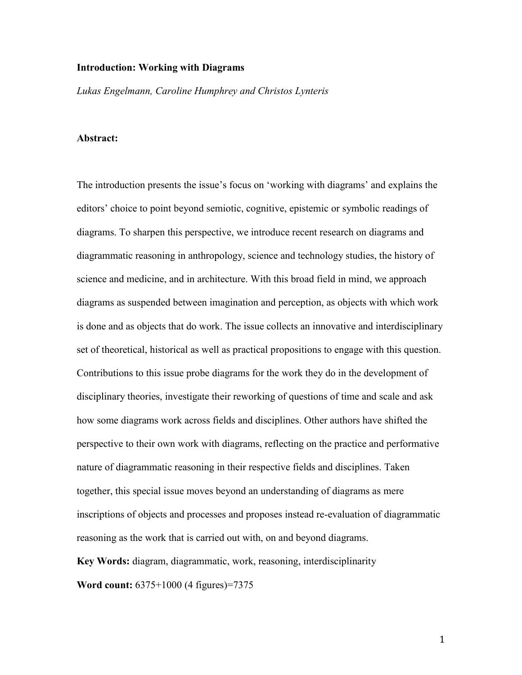#### **Introduction: Working with Diagrams**

*Lukas Engelmann, Caroline Humphrey and Christos Lynteris*

#### **Abstract:**

The introduction presents the issue's focus on 'working with diagrams' and explains the editors' choice to point beyond semiotic, cognitive, epistemic or symbolic readings of diagrams. To sharpen this perspective, we introduce recent research on diagrams and diagrammatic reasoning in anthropology, science and technology studies, the history of science and medicine, and in architecture. With this broad field in mind, we approach diagrams as suspended between imagination and perception, as objects with which work is done and as objects that do work. The issue collects an innovative and interdisciplinary set of theoretical, historical as well as practical propositions to engage with this question. Contributions to this issue probe diagrams for the work they do in the development of disciplinary theories, investigate their reworking of questions of time and scale and ask how some diagrams work across fields and disciplines. Other authors have shifted the perspective to their own work with diagrams, reflecting on the practice and performative nature of diagrammatic reasoning in their respective fields and disciplines. Taken together, this special issue moves beyond an understanding of diagrams as mere inscriptions of objects and processes and proposes instead re-evaluation of diagrammatic reasoning as the work that is carried out with, on and beyond diagrams. **Key Words:** diagram, diagrammatic, work, reasoning, interdisciplinarity

**Word count:** 6375+1000 (4 figures)=7375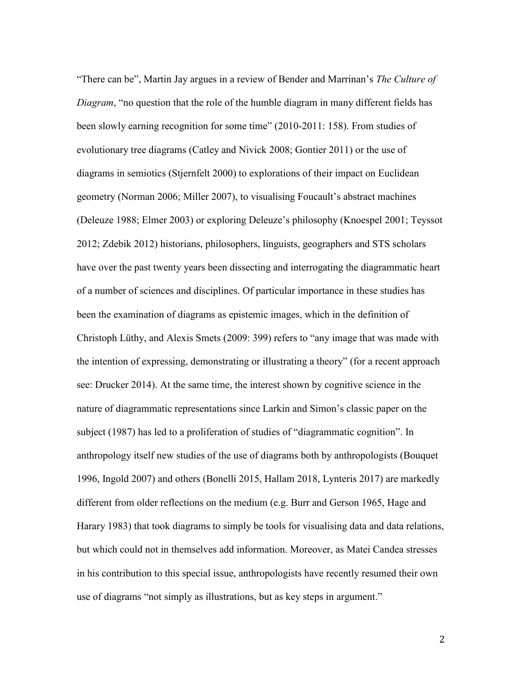"There can be", Martin Jay argues in a review of Bender and Marrinan's *The Culture of Diagram*, "no question that the role of the humble diagram in many different fields has been slowly earning recognition for some time" (2010-2011: 158). From studies of evolutionary tree diagrams (Catley and Nivick 2008; Gontier 2011) or the use of diagrams in semiotics (Stjernfelt 2000) to explorations of their impact on Euclidean geometry (Norman 2006; Miller 2007), to visualising Foucault's abstract machines (Deleuze 1988; Elmer 2003) or exploring Deleuze's philosophy (Knoespel 2001; Teyssot 2012; Zdebik 2012) historians, philosophers, linguists, geographers and STS scholars have over the past twenty years been dissecting and interrogating the diagrammatic heart of a number of sciences and disciplines. Of particular importance in these studies has been the examination of diagrams as epistemic images, which in the definition of Christoph Lüthy, and Alexis Smets (2009: 399) refers to "any image that was made with the intention of expressing, demonstrating or illustrating a theory" (for a recent approach see: Drucker 2014). At the same time, the interest shown by cognitive science in the nature of diagrammatic representations since Larkin and Simon's classic paper on the subject (1987) has led to a proliferation of studies of "diagrammatic cognition". In anthropology itself new studies of the use of diagrams both by anthropologists (Bouquet 1996, Ingold 2007) and others (Bonelli 2015, Hallam 2018, Lynteris 2017) are markedly different from older reflections on the medium (e.g. Burr and Gerson 1965, Hage and Harary 1983) that took diagrams to simply be tools for visualising data and data relations, but which could not in themselves add information. Moreover, as Matei Candea stresses in his contribution to this special issue, anthropologists have recently resumed their own use of diagrams "not simply as illustrations, but as key steps in argument."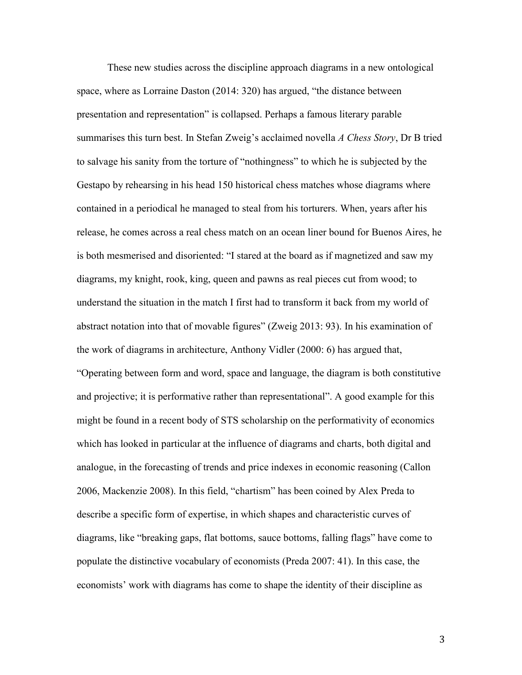These new studies across the discipline approach diagrams in a new ontological space, where as Lorraine Daston (2014: 320) has argued, "the distance between presentation and representation" is collapsed. Perhaps a famous literary parable summarises this turn best. In Stefan Zweig's acclaimed novella *A Chess Story*, Dr B tried to salvage his sanity from the torture of "nothingness" to which he is subjected by the Gestapo by rehearsing in his head 150 historical chess matches whose diagrams where contained in a periodical he managed to steal from his torturers. When, years after his release, he comes across a real chess match on an ocean liner bound for Buenos Aires, he is both mesmerised and disoriented: "I stared at the board as if magnetized and saw my diagrams, my knight, rook, king, queen and pawns as real pieces cut from wood; to understand the situation in the match I first had to transform it back from my world of abstract notation into that of movable figures" (Zweig 2013: 93). In his examination of the work of diagrams in architecture, Anthony Vidler (2000: 6) has argued that, "Operating between form and word, space and language, the diagram is both constitutive and projective; it is performative rather than representational". A good example for this might be found in a recent body of STS scholarship on the performativity of economics which has looked in particular at the influence of diagrams and charts, both digital and analogue, in the forecasting of trends and price indexes in economic reasoning (Callon 2006, Mackenzie 2008). In this field, "chartism" has been coined by Alex Preda to describe a specific form of expertise, in which shapes and characteristic curves of diagrams, like "breaking gaps, flat bottoms, sauce bottoms, falling flags" have come to populate the distinctive vocabulary of economists (Preda 2007: 41). In this case, the economists' work with diagrams has come to shape the identity of their discipline as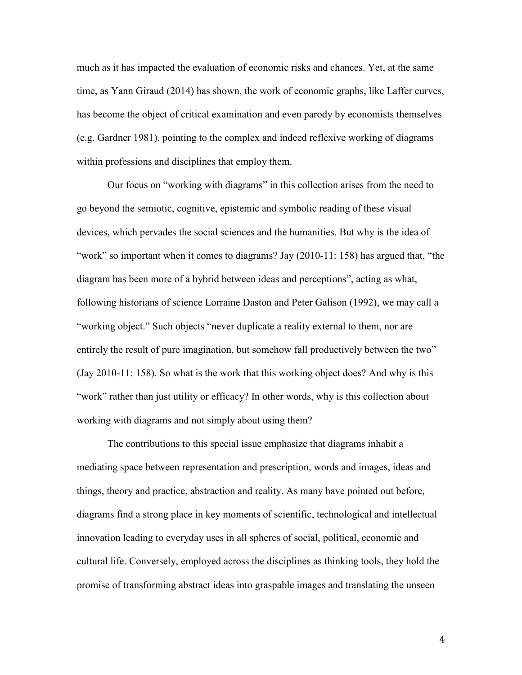much as it has impacted the evaluation of economic risks and chances. Yet, at the same time, as Yann Giraud (2014) has shown, the work of economic graphs, like Laffer curves, has become the object of critical examination and even parody by economists themselves (e.g. Gardner 1981), pointing to the complex and indeed reflexive working of diagrams within professions and disciplines that employ them.

Our focus on "working with diagrams" in this collection arises from the need to go beyond the semiotic, cognitive, epistemic and symbolic reading of these visual devices, which pervades the social sciences and the humanities. But why is the idea of "work" so important when it comes to diagrams? Jay (2010-11: 158) has argued that, "the diagram has been more of a hybrid between ideas and perceptions", acting as what, following historians of science Lorraine Daston and Peter Galison (1992), we may call a "working object." Such objects "never duplicate a reality external to them, nor are entirely the result of pure imagination, but somehow fall productively between the two" (Jay 2010-11: 158). So what is the work that this working object does? And why is this "work" rather than just utility or efficacy? In other words, why is this collection about working with diagrams and not simply about using them?

The contributions to this special issue emphasize that diagrams inhabit a mediating space between representation and prescription, words and images, ideas and things, theory and practice, abstraction and reality. As many have pointed out before, diagrams find a strong place in key moments of scientific, technological and intellectual innovation leading to everyday uses in all spheres of social, political, economic and cultural life. Conversely, employed across the disciplines as thinking tools, they hold the promise of transforming abstract ideas into graspable images and translating the unseen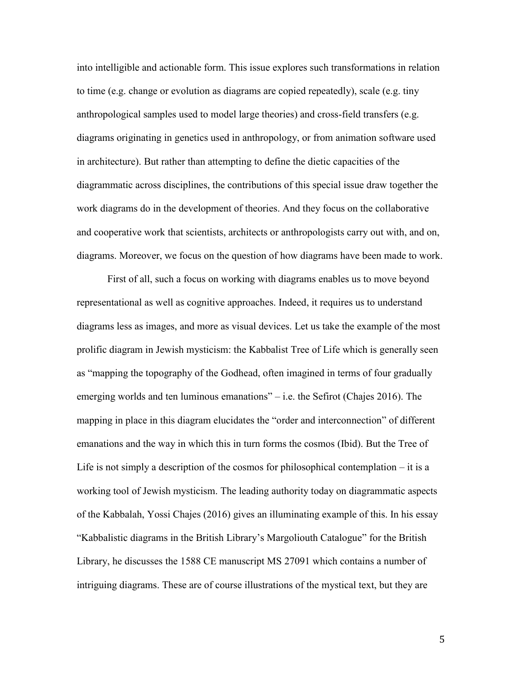into intelligible and actionable form. This issue explores such transformations in relation to time (e.g. change or evolution as diagrams are copied repeatedly), scale (e.g. tiny anthropological samples used to model large theories) and cross-field transfers (e.g. diagrams originating in genetics used in anthropology, or from animation software used in architecture). But rather than attempting to define the dietic capacities of the diagrammatic across disciplines, the contributions of this special issue draw together the work diagrams do in the development of theories. And they focus on the collaborative and cooperative work that scientists, architects or anthropologists carry out with, and on, diagrams. Moreover, we focus on the question of how diagrams have been made to work.

First of all, such a focus on working with diagrams enables us to move beyond representational as well as cognitive approaches. Indeed, it requires us to understand diagrams less as images, and more as visual devices. Let us take the example of the most prolific diagram in Jewish mysticism: the Kabbalist Tree of Life which is generally seen as "mapping the topography of the Godhead, often imagined in terms of four gradually emerging worlds and ten luminous emanations" – i.e. the Sefirot (Chajes 2016). The mapping in place in this diagram elucidates the "order and interconnection" of different emanations and the way in which this in turn forms the cosmos (Ibid). But the Tree of Life is not simply a description of the cosmos for philosophical contemplation  $-$  it is a working tool of Jewish mysticism. The leading authority today on diagrammatic aspects of the Kabbalah, Yossi Chajes (2016) gives an illuminating example of this. In his essay "Kabbalistic diagrams in the British Library's Margoliouth Catalogue" for the British Library, he discusses the 1588 CE manuscript MS 27091 which contains a number of intriguing diagrams. These are of course illustrations of the mystical text, but they are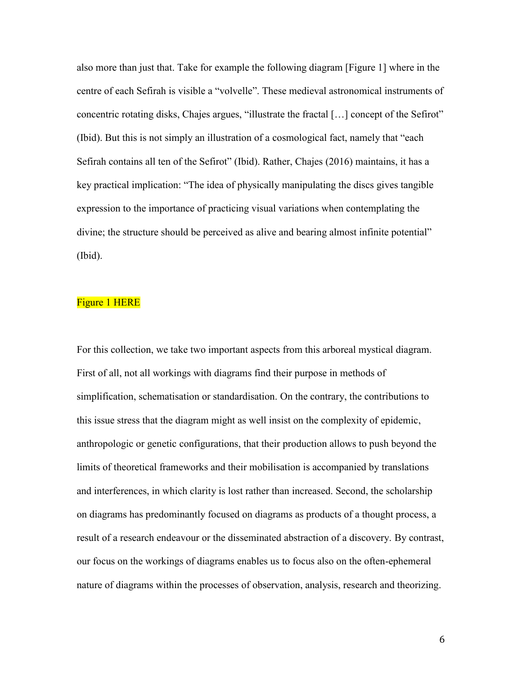also more than just that. Take for example the following diagram [Figure 1] where in the centre of each Sefirah is visible a "volvelle". These medieval astronomical instruments of concentric rotating disks, Chajes argues, "illustrate the fractal […] concept of the Sefirot" (Ibid). But this is not simply an illustration of a cosmological fact, namely that "each Sefirah contains all ten of the Sefirot" (Ibid). Rather, Chajes (2016) maintains, it has a key practical implication: "The idea of physically manipulating the discs gives tangible expression to the importance of practicing visual variations when contemplating the divine; the structure should be perceived as alive and bearing almost infinite potential" (Ibid).

#### Figure 1 HERE

For this collection, we take two important aspects from this arboreal mystical diagram. First of all, not all workings with diagrams find their purpose in methods of simplification, schematisation or standardisation. On the contrary, the contributions to this issue stress that the diagram might as well insist on the complexity of epidemic, anthropologic or genetic configurations, that their production allows to push beyond the limits of theoretical frameworks and their mobilisation is accompanied by translations and interferences, in which clarity is lost rather than increased. Second, the scholarship on diagrams has predominantly focused on diagrams as products of a thought process, a result of a research endeavour or the disseminated abstraction of a discovery. By contrast, our focus on the workings of diagrams enables us to focus also on the often-ephemeral nature of diagrams within the processes of observation, analysis, research and theorizing.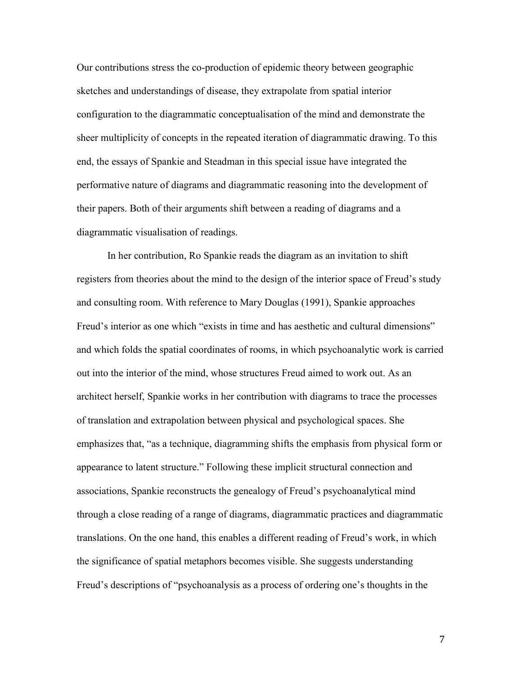Our contributions stress the co-production of epidemic theory between geographic sketches and understandings of disease, they extrapolate from spatial interior configuration to the diagrammatic conceptualisation of the mind and demonstrate the sheer multiplicity of concepts in the repeated iteration of diagrammatic drawing. To this end, the essays of Spankie and Steadman in this special issue have integrated the performative nature of diagrams and diagrammatic reasoning into the development of their papers. Both of their arguments shift between a reading of diagrams and a diagrammatic visualisation of readings.

In her contribution, Ro Spankie reads the diagram as an invitation to shift registers from theories about the mind to the design of the interior space of Freud's study and consulting room. With reference to Mary Douglas (1991), Spankie approaches Freud's interior as one which "exists in time and has aesthetic and cultural dimensions" and which folds the spatial coordinates of rooms, in which psychoanalytic work is carried out into the interior of the mind, whose structures Freud aimed to work out. As an architect herself, Spankie works in her contribution with diagrams to trace the processes of translation and extrapolation between physical and psychological spaces. She emphasizes that, "as a technique, diagramming shifts the emphasis from physical form or appearance to latent structure." Following these implicit structural connection and associations, Spankie reconstructs the genealogy of Freud's psychoanalytical mind through a close reading of a range of diagrams, diagrammatic practices and diagrammatic translations. On the one hand, this enables a different reading of Freud's work, in which the significance of spatial metaphors becomes visible. She suggests understanding Freud's descriptions of "psychoanalysis as a process of ordering one's thoughts in the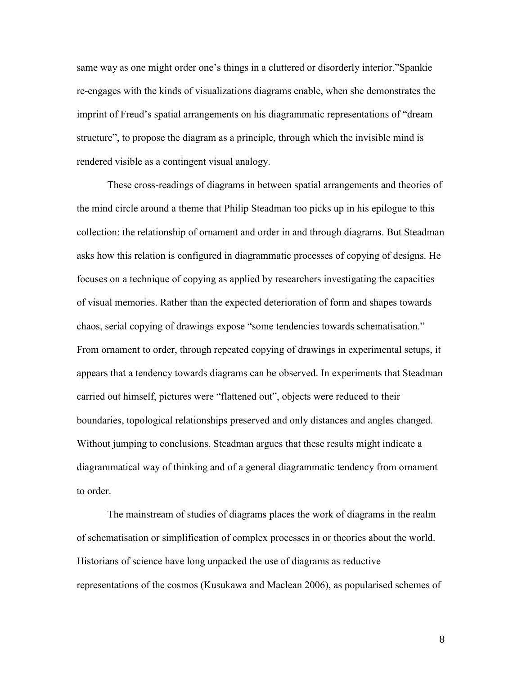same way as one might order one's things in a cluttered or disorderly interior."Spankie re-engages with the kinds of visualizations diagrams enable, when she demonstrates the imprint of Freud's spatial arrangements on his diagrammatic representations of "dream structure", to propose the diagram as a principle, through which the invisible mind is rendered visible as a contingent visual analogy.

These cross-readings of diagrams in between spatial arrangements and theories of the mind circle around a theme that Philip Steadman too picks up in his epilogue to this collection: the relationship of ornament and order in and through diagrams. But Steadman asks how this relation is configured in diagrammatic processes of copying of designs. He focuses on a technique of copying as applied by researchers investigating the capacities of visual memories. Rather than the expected deterioration of form and shapes towards chaos, serial copying of drawings expose "some tendencies towards schematisation." From ornament to order, through repeated copying of drawings in experimental setups, it appears that a tendency towards diagrams can be observed. In experiments that Steadman carried out himself, pictures were "flattened out", objects were reduced to their boundaries, topological relationships preserved and only distances and angles changed. Without jumping to conclusions, Steadman argues that these results might indicate a diagrammatical way of thinking and of a general diagrammatic tendency from ornament to order.

The mainstream of studies of diagrams places the work of diagrams in the realm of schematisation or simplification of complex processes in or theories about the world. Historians of science have long unpacked the use of diagrams as reductive representations of the cosmos (Kusukawa and Maclean 2006), as popularised schemes of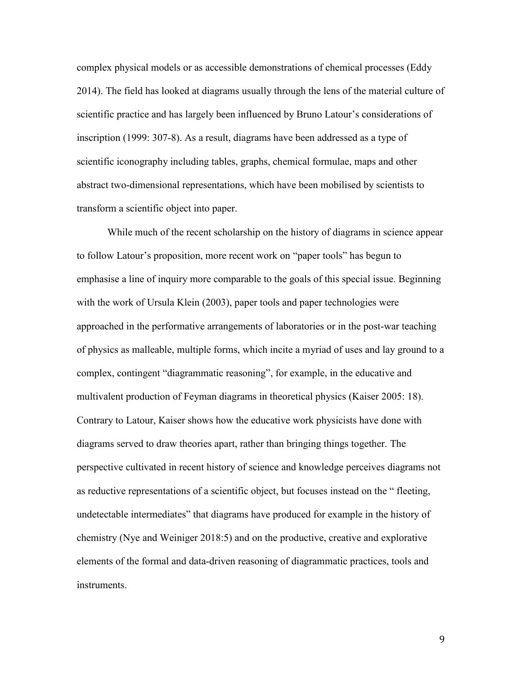complex physical models or as accessible demonstrations of chemical processes (Eddy 2014). The field has looked at diagrams usually through the lens of the material culture of scientific practice and has largely been influenced by Bruno Latour's considerations of inscription (1999: 307-8). As a result, diagrams have been addressed as a type of scientific iconography including tables, graphs, chemical formulae, maps and other abstract two-dimensional representations, which have been mobilised by scientists to transform a scientific object into paper.

While much of the recent scholarship on the history of diagrams in science appear to follow Latour's proposition, more recent work on "paper tools" has begun to emphasise a line of inquiry more comparable to the goals of this special issue. Beginning with the work of Ursula Klein (2003), paper tools and paper technologies were approached in the performative arrangements of laboratories or in the post-war teaching of physics as malleable, multiple forms, which incite a myriad of uses and lay ground to a complex, contingent "diagrammatic reasoning", for example, in the educative and multivalent production of Feyman diagrams in theoretical physics (Kaiser 2005: 18). Contrary to Latour, Kaiser shows how the educative work physicists have done with diagrams served to draw theories apart, rather than bringing things together. The perspective cultivated in recent history of science and knowledge perceives diagrams not as reductive representations of a scientific object, but focuses instead on the " fleeting, undetectable intermediates" that diagrams have produced for example in the history of chemistry (Nye and Weiniger 2018:5) and on the productive, creative and explorative elements of the formal and data-driven reasoning of diagrammatic practices, tools and instruments.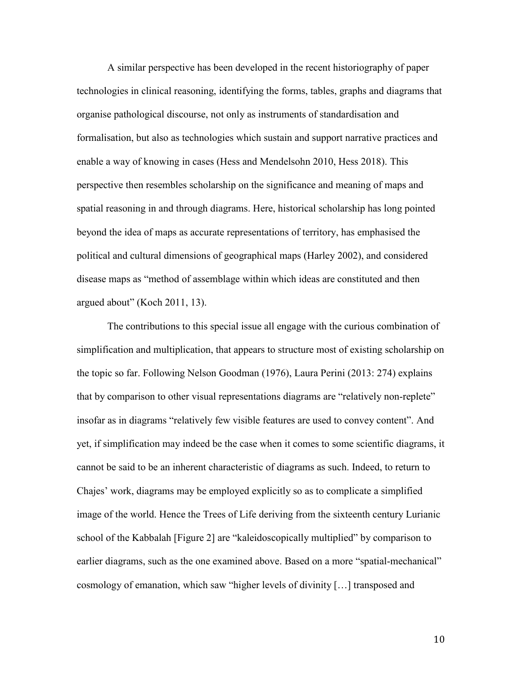A similar perspective has been developed in the recent historiography of paper technologies in clinical reasoning, identifying the forms, tables, graphs and diagrams that organise pathological discourse, not only as instruments of standardisation and formalisation, but also as technologies which sustain and support narrative practices and enable a way of knowing in cases (Hess and Mendelsohn 2010, Hess 2018). This perspective then resembles scholarship on the significance and meaning of maps and spatial reasoning in and through diagrams. Here, historical scholarship has long pointed beyond the idea of maps as accurate representations of territory, has emphasised the political and cultural dimensions of geographical maps (Harley 2002), and considered disease maps as "method of assemblage within which ideas are constituted and then argued about" (Koch 2011, 13).

The contributions to this special issue all engage with the curious combination of simplification and multiplication, that appears to structure most of existing scholarship on the topic so far. Following Nelson Goodman (1976), Laura Perini (2013: 274) explains that by comparison to other visual representations diagrams are "relatively non-replete" insofar as in diagrams "relatively few visible features are used to convey content". And yet, if simplification may indeed be the case when it comes to some scientific diagrams, it cannot be said to be an inherent characteristic of diagrams as such. Indeed, to return to Chajes' work, diagrams may be employed explicitly so as to complicate a simplified image of the world. Hence the Trees of Life deriving from the sixteenth century Lurianic school of the Kabbalah [Figure 2] are "kaleidoscopically multiplied" by comparison to earlier diagrams, such as the one examined above. Based on a more "spatial-mechanical" cosmology of emanation, which saw "higher levels of divinity […] transposed and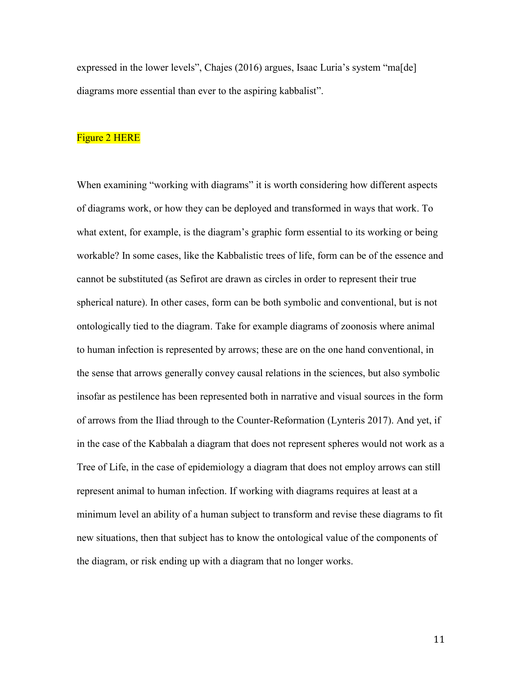expressed in the lower levels", Chajes (2016) argues, Isaac Luria's system "ma[de] diagrams more essential than ever to the aspiring kabbalist".

#### Figure 2 HERE

When examining "working with diagrams" it is worth considering how different aspects of diagrams work, or how they can be deployed and transformed in ways that work. To what extent, for example, is the diagram's graphic form essential to its working or being workable? In some cases, like the Kabbalistic trees of life, form can be of the essence and cannot be substituted (as Sefirot are drawn as circles in order to represent their true spherical nature). In other cases, form can be both symbolic and conventional, but is not ontologically tied to the diagram. Take for example diagrams of zoonosis where animal to human infection is represented by arrows; these are on the one hand conventional, in the sense that arrows generally convey causal relations in the sciences, but also symbolic insofar as pestilence has been represented both in narrative and visual sources in the form of arrows from the Iliad through to the Counter-Reformation (Lynteris 2017). And yet, if in the case of the Kabbalah a diagram that does not represent spheres would not work as a Tree of Life, in the case of epidemiology a diagram that does not employ arrows can still represent animal to human infection. If working with diagrams requires at least at a minimum level an ability of a human subject to transform and revise these diagrams to fit new situations, then that subject has to know the ontological value of the components of the diagram, or risk ending up with a diagram that no longer works.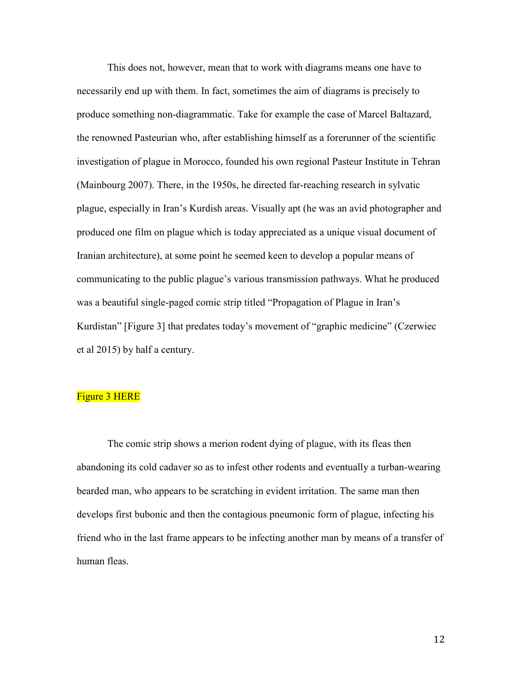This does not, however, mean that to work with diagrams means one have to necessarily end up with them. In fact, sometimes the aim of diagrams is precisely to produce something non-diagrammatic. Take for example the case of Marcel Baltazard, the renowned Pasteurian who, after establishing himself as a forerunner of the scientific investigation of plague in Morocco, founded his own regional Pasteur Institute in Tehran (Mainbourg 2007). There, in the 1950s, he directed far-reaching research in sylvatic plague, especially in Iran's Kurdish areas. Visually apt (he was an avid photographer and produced one film on plague which is today appreciated as a unique visual document of Iranian architecture), at some point he seemed keen to develop a popular means of communicating to the public plague's various transmission pathways. What he produced was a beautiful single-paged comic strip titled "Propagation of Plague in Iran's Kurdistan" [Figure 3] that predates today's movement of "graphic medicine" (Czerwiec et al 2015) by half a century.

### Figure 3 HERE

The comic strip shows a merion rodent dying of plague, with its fleas then abandoning its cold cadaver so as to infest other rodents and eventually a turban-wearing bearded man, who appears to be scratching in evident irritation. The same man then develops first bubonic and then the contagious pneumonic form of plague, infecting his friend who in the last frame appears to be infecting another man by means of a transfer of human fleas.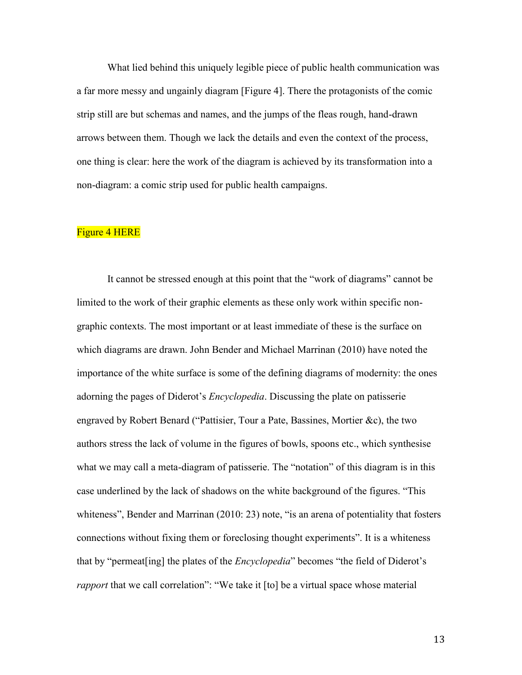What lied behind this uniquely legible piece of public health communication was a far more messy and ungainly diagram [Figure 4]. There the protagonists of the comic strip still are but schemas and names, and the jumps of the fleas rough, hand-drawn arrows between them. Though we lack the details and even the context of the process, one thing is clear: here the work of the diagram is achieved by its transformation into a non-diagram: a comic strip used for public health campaigns.

### Figure 4 HERE

It cannot be stressed enough at this point that the "work of diagrams" cannot be limited to the work of their graphic elements as these only work within specific nongraphic contexts. The most important or at least immediate of these is the surface on which diagrams are drawn. John Bender and Michael Marrinan (2010) have noted the importance of the white surface is some of the defining diagrams of modernity: the ones adorning the pages of Diderot's *Encyclopedia*. Discussing the plate on patisserie engraved by Robert Benard ("Pattisier, Tour a Pate, Bassines, Mortier &c), the two authors stress the lack of volume in the figures of bowls, spoons etc., which synthesise what we may call a meta-diagram of patisserie. The "notation" of this diagram is in this case underlined by the lack of shadows on the white background of the figures. "This whiteness", Bender and Marrinan (2010: 23) note, "is an arena of potentiality that fosters connections without fixing them or foreclosing thought experiments". It is a whiteness that by "permeat[ing] the plates of the *Encyclopedia*" becomes "the field of Diderot's *rapport* that we call correlation": "We take it [to] be a virtual space whose material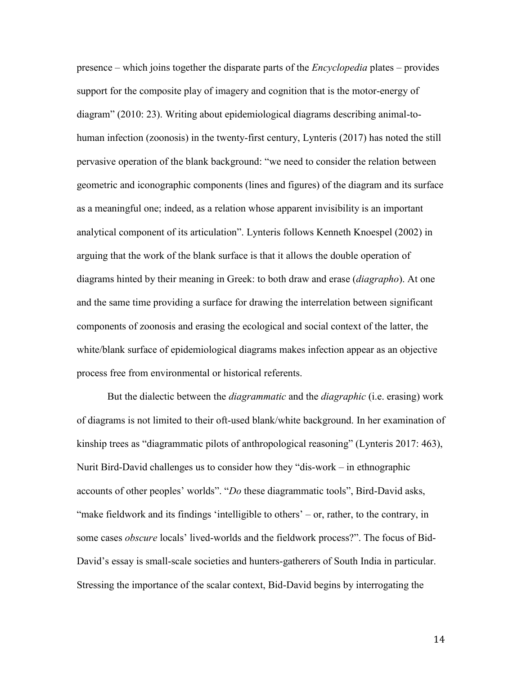presence – which joins together the disparate parts of the *Encyclopedia* plates – provides support for the composite play of imagery and cognition that is the motor-energy of diagram" (2010: 23). Writing about epidemiological diagrams describing animal-tohuman infection (zoonosis) in the twenty-first century, Lynteris (2017) has noted the still pervasive operation of the blank background: "we need to consider the relation between geometric and iconographic components (lines and figures) of the diagram and its surface as a meaningful one; indeed, as a relation whose apparent invisibility is an important analytical component of its articulation". Lynteris follows Kenneth Knoespel (2002) in arguing that the work of the blank surface is that it allows the double operation of diagrams hinted by their meaning in Greek: to both draw and erase (*diagrapho*). At one and the same time providing a surface for drawing the interrelation between significant components of zoonosis and erasing the ecological and social context of the latter, the white/blank surface of epidemiological diagrams makes infection appear as an objective process free from environmental or historical referents.

But the dialectic between the *diagrammatic* and the *diagraphic* (i.e. erasing) work of diagrams is not limited to their oft-used blank/white background. In her examination of kinship trees as "diagrammatic pilots of anthropological reasoning" (Lynteris 2017: 463), Nurit Bird-David challenges us to consider how they "dis-work – in ethnographic accounts of other peoples' worlds". "*Do* these diagrammatic tools", Bird-David asks, "make fieldwork and its findings 'intelligible to others' – or, rather, to the contrary, in some cases *obscure* locals' lived-worlds and the fieldwork process?". The focus of Bid-David's essay is small-scale societies and hunters-gatherers of South India in particular. Stressing the importance of the scalar context, Bid-David begins by interrogating the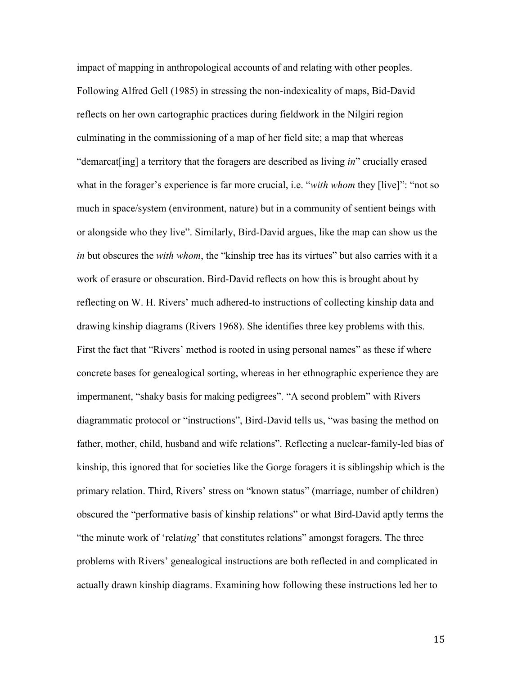impact of mapping in anthropological accounts of and relating with other peoples. Following Alfred Gell (1985) in stressing the non-indexicality of maps, Bid-David reflects on her own cartographic practices during fieldwork in the Nilgiri region culminating in the commissioning of a map of her field site; a map that whereas "demarcat[ing] a territory that the foragers are described as living *in*" crucially erased what in the forager's experience is far more crucial, i.e. "*with whom* they [live]": "not so much in space/system (environment, nature) but in a community of sentient beings with or alongside who they live". Similarly, Bird-David argues, like the map can show us the *in* but obscures the *with whom*, the "kinship tree has its virtues" but also carries with it a work of erasure or obscuration. Bird-David reflects on how this is brought about by reflecting on W. H. Rivers' much adhered-to instructions of collecting kinship data and drawing kinship diagrams (Rivers 1968). She identifies three key problems with this. First the fact that "Rivers' method is rooted in using personal names" as these if where concrete bases for genealogical sorting, whereas in her ethnographic experience they are impermanent, "shaky basis for making pedigrees". "A second problem" with Rivers diagrammatic protocol or "instructions", Bird-David tells us, "was basing the method on father, mother, child, husband and wife relations". Reflecting a nuclear-family-led bias of kinship, this ignored that for societies like the Gorge foragers it is siblingship which is the primary relation. Third, Rivers' stress on "known status" (marriage, number of children) obscured the "performative basis of kinship relations" or what Bird-David aptly terms the "the minute work of 'relat*ing*' that constitutes relations" amongst foragers. The three problems with Rivers' genealogical instructions are both reflected in and complicated in actually drawn kinship diagrams. Examining how following these instructions led her to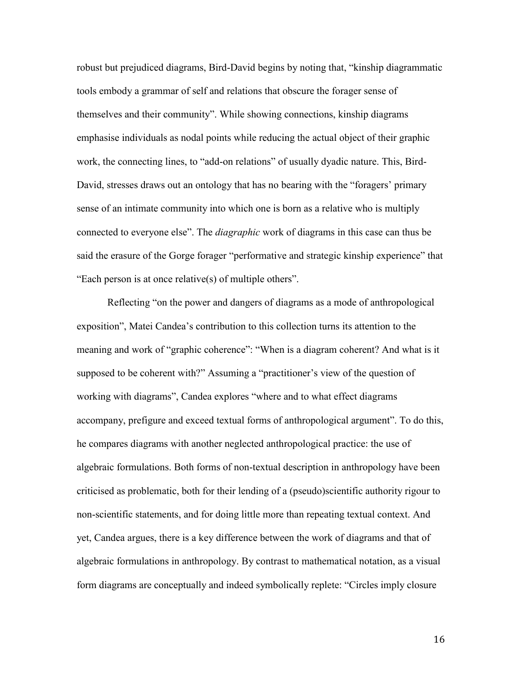robust but prejudiced diagrams, Bird-David begins by noting that, "kinship diagrammatic tools embody a grammar of self and relations that obscure the forager sense of themselves and their community". While showing connections, kinship diagrams emphasise individuals as nodal points while reducing the actual object of their graphic work, the connecting lines, to "add-on relations" of usually dyadic nature. This, Bird-David, stresses draws out an ontology that has no bearing with the "foragers' primary sense of an intimate community into which one is born as a relative who is multiply connected to everyone else". The *diagraphic* work of diagrams in this case can thus be said the erasure of the Gorge forager "performative and strategic kinship experience" that "Each person is at once relative(s) of multiple others".

Reflecting "on the power and dangers of diagrams as a mode of anthropological exposition", Matei Candea's contribution to this collection turns its attention to the meaning and work of "graphic coherence": "When is a diagram coherent? And what is it supposed to be coherent with?" Assuming a "practitioner's view of the question of working with diagrams", Candea explores "where and to what effect diagrams accompany, prefigure and exceed textual forms of anthropological argument". To do this, he compares diagrams with another neglected anthropological practice: the use of algebraic formulations. Both forms of non-textual description in anthropology have been criticised as problematic, both for their lending of a (pseudo)scientific authority rigour to non-scientific statements, and for doing little more than repeating textual context. And yet, Candea argues, there is a key difference between the work of diagrams and that of algebraic formulations in anthropology. By contrast to mathematical notation, as a visual form diagrams are conceptually and indeed symbolically replete: "Circles imply closure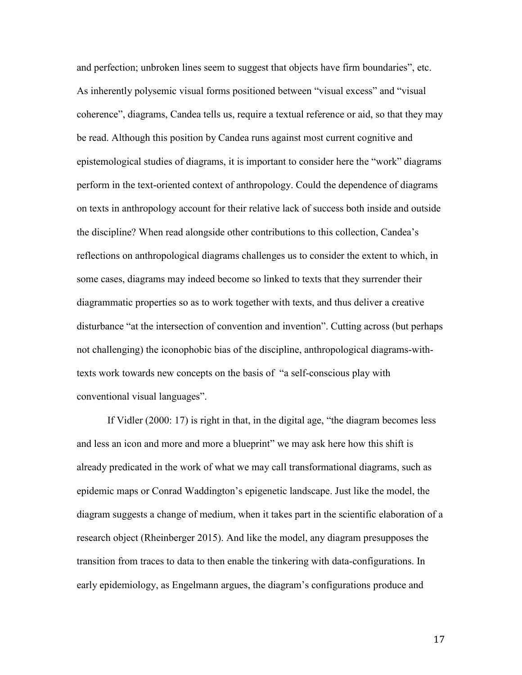and perfection; unbroken lines seem to suggest that objects have firm boundaries", etc. As inherently polysemic visual forms positioned between "visual excess" and "visual coherence", diagrams, Candea tells us, require a textual reference or aid, so that they may be read. Although this position by Candea runs against most current cognitive and epistemological studies of diagrams, it is important to consider here the "work" diagrams perform in the text-oriented context of anthropology. Could the dependence of diagrams on texts in anthropology account for their relative lack of success both inside and outside the discipline? When read alongside other contributions to this collection, Candea's reflections on anthropological diagrams challenges us to consider the extent to which, in some cases, diagrams may indeed become so linked to texts that they surrender their diagrammatic properties so as to work together with texts, and thus deliver a creative disturbance "at the intersection of convention and invention". Cutting across (but perhaps not challenging) the iconophobic bias of the discipline, anthropological diagrams-withtexts work towards new concepts on the basis of "a self-conscious play with conventional visual languages".

If Vidler (2000: 17) is right in that, in the digital age, "the diagram becomes less and less an icon and more and more a blueprint" we may ask here how this shift is already predicated in the work of what we may call transformational diagrams, such as epidemic maps or Conrad Waddington's epigenetic landscape. Just like the model, the diagram suggests a change of medium, when it takes part in the scientific elaboration of a research object (Rheinberger 2015). And like the model, any diagram presupposes the transition from traces to data to then enable the tinkering with data-configurations. In early epidemiology, as Engelmann argues, the diagram's configurations produce and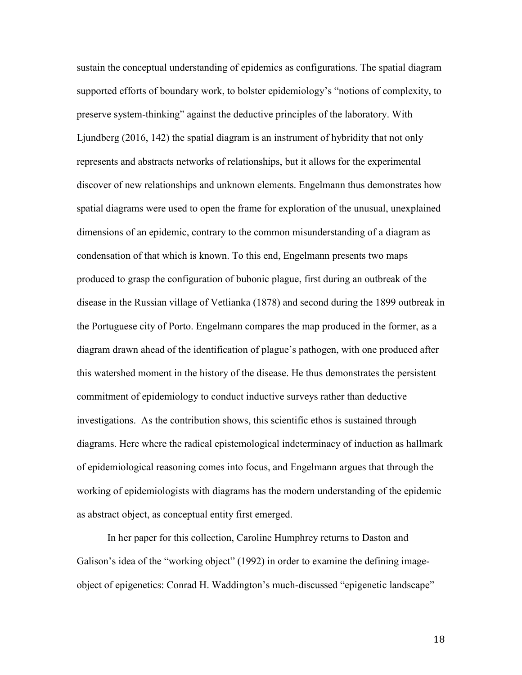sustain the conceptual understanding of epidemics as configurations. The spatial diagram supported efforts of boundary work, to bolster epidemiology's "notions of complexity, to preserve system-thinking" against the deductive principles of the laboratory. With Ljundberg (2016, 142) the spatial diagram is an instrument of hybridity that not only represents and abstracts networks of relationships, but it allows for the experimental discover of new relationships and unknown elements. Engelmann thus demonstrates how spatial diagrams were used to open the frame for exploration of the unusual, unexplained dimensions of an epidemic, contrary to the common misunderstanding of a diagram as condensation of that which is known. To this end, Engelmann presents two maps produced to grasp the configuration of bubonic plague, first during an outbreak of the disease in the Russian village of Vetlianka (1878) and second during the 1899 outbreak in the Portuguese city of Porto. Engelmann compares the map produced in the former, as a diagram drawn ahead of the identification of plague's pathogen, with one produced after this watershed moment in the history of the disease. He thus demonstrates the persistent commitment of epidemiology to conduct inductive surveys rather than deductive investigations. As the contribution shows, this scientific ethos is sustained through diagrams. Here where the radical epistemological indeterminacy of induction as hallmark of epidemiological reasoning comes into focus, and Engelmann argues that through the working of epidemiologists with diagrams has the modern understanding of the epidemic as abstract object, as conceptual entity first emerged.

In her paper for this collection, Caroline Humphrey returns to Daston and Galison's idea of the "working object" (1992) in order to examine the defining imageobject of epigenetics: Conrad H. Waddington's much-discussed "epigenetic landscape"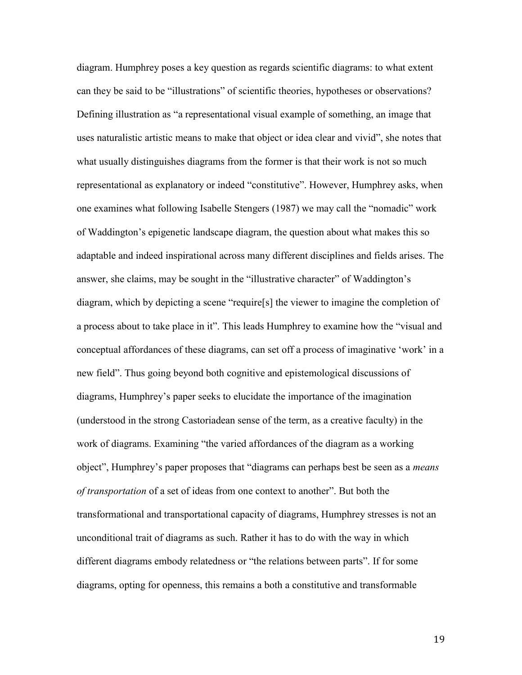diagram. Humphrey poses a key question as regards scientific diagrams: to what extent can they be said to be "illustrations" of scientific theories, hypotheses or observations? Defining illustration as "a representational visual example of something, an image that uses naturalistic artistic means to make that object or idea clear and vivid", she notes that what usually distinguishes diagrams from the former is that their work is not so much representational as explanatory or indeed "constitutive". However, Humphrey asks, when one examines what following Isabelle Stengers (1987) we may call the "nomadic" work of Waddington's epigenetic landscape diagram, the question about what makes this so adaptable and indeed inspirational across many different disciplines and fields arises. The answer, she claims, may be sought in the "illustrative character" of Waddington's diagram, which by depicting a scene "require[s] the viewer to imagine the completion of a process about to take place in it". This leads Humphrey to examine how the "visual and conceptual affordances of these diagrams, can set off a process of imaginative 'work' in a new field". Thus going beyond both cognitive and epistemological discussions of diagrams, Humphrey's paper seeks to elucidate the importance of the imagination (understood in the strong Castoriadean sense of the term, as a creative faculty) in the work of diagrams. Examining "the varied affordances of the diagram as a working object", Humphrey's paper proposes that "diagrams can perhaps best be seen as a *means of transportation* of a set of ideas from one context to another". But both the transformational and transportational capacity of diagrams, Humphrey stresses is not an unconditional trait of diagrams as such. Rather it has to do with the way in which different diagrams embody relatedness or "the relations between parts". If for some diagrams, opting for openness, this remains a both a constitutive and transformable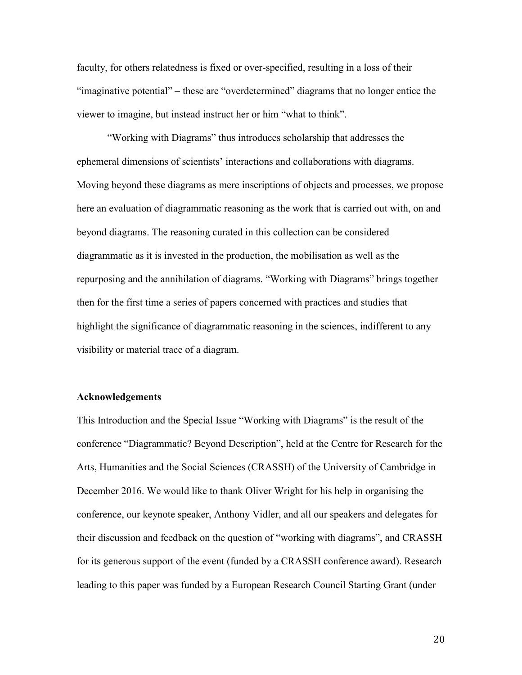faculty, for others relatedness is fixed or over-specified, resulting in a loss of their "imaginative potential" – these are "overdetermined" diagrams that no longer entice the viewer to imagine, but instead instruct her or him "what to think".

"Working with Diagrams" thus introduces scholarship that addresses the ephemeral dimensions of scientists' interactions and collaborations with diagrams. Moving beyond these diagrams as mere inscriptions of objects and processes, we propose here an evaluation of diagrammatic reasoning as the work that is carried out with, on and beyond diagrams. The reasoning curated in this collection can be considered diagrammatic as it is invested in the production, the mobilisation as well as the repurposing and the annihilation of diagrams. "Working with Diagrams" brings together then for the first time a series of papers concerned with practices and studies that highlight the significance of diagrammatic reasoning in the sciences, indifferent to any visibility or material trace of a diagram.

#### **Acknowledgements**

This Introduction and the Special Issue "Working with Diagrams" is the result of the conference "Diagrammatic? Beyond Description", held at the Centre for Research for the Arts, Humanities and the Social Sciences (CRASSH) of the University of Cambridge in December 2016. We would like to thank Oliver Wright for his help in organising the conference, our keynote speaker, Anthony Vidler, and all our speakers and delegates for their discussion and feedback on the question of "working with diagrams", and CRASSH for its generous support of the event (funded by a CRASSH conference award). Research leading to this paper was funded by a European Research Council Starting Grant (under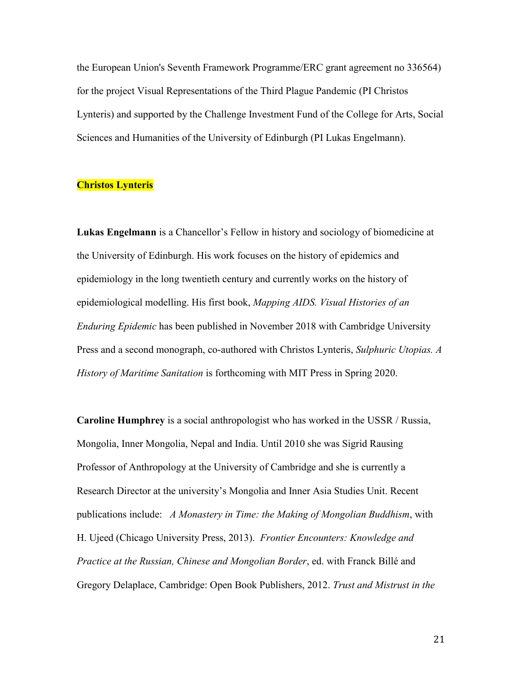the European Union's Seventh Framework Programme/ERC grant agreement no 336564) for the project Visual Representations of the Third Plague Pandemic (PI Christos Lynteris) and supported by the Challenge Investment Fund of the College for Arts, Social Sciences and Humanities of the University of Edinburgh (PI Lukas Engelmann).

#### **Christos Lynteris**

**Lukas Engelmann** is a Chancellor's Fellow in history and sociology of biomedicine at the University of Edinburgh. His work focuses on the history of epidemics and epidemiology in the long twentieth century and currently works on the history of epidemiological modelling. His first book, *Mapping AIDS. Visual Histories of an Enduring Epidemic* has been published in November 2018 with Cambridge University Press and a second monograph, co-authored with Christos Lynteris, *Sulphuric Utopias. A History of Maritime Sanitation* is forthcoming with MIT Press in Spring 2020.

**Caroline Humphrey** is a social anthropologist who has worked in the USSR / Russia, Mongolia, Inner Mongolia, Nepal and India. Until 2010 she was Sigrid Rausing Professor of Anthropology at the University of Cambridge and she is currently a Research Director at the university's Mongolia and Inner Asia Studies Unit. Recent publications include: *A Monastery in Time: the Making of Mongolian Buddhism*, with H. Ujeed (Chicago University Press, 2013). *Frontier Encounters: Knowledge and Practice at the Russian, Chinese and Mongolian Border*, ed. with Franck Billé and Gregory Delaplace, Cambridge: Open Book Publishers, 2012. *Trust and Mistrust in the*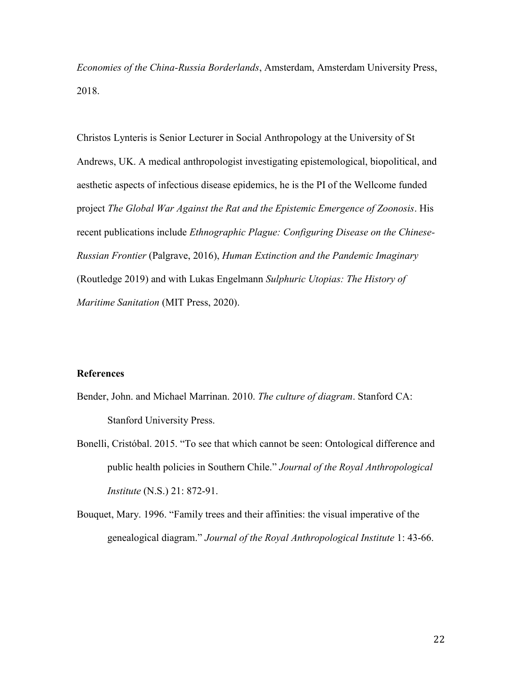*Economies of the China-Russia Borderlands*, Amsterdam, Amsterdam University Press, 2018.

Christos Lynteris is Senior Lecturer in Social Anthropology at the University of St Andrews, UK. A medical anthropologist investigating epistemological, biopolitical, and aesthetic aspects of infectious disease epidemics, he is the PI of the Wellcome funded project *The Global War Against the Rat and the Epistemic Emergence of Zoonosis*. His recent publications include *Ethnographic Plague: Configuring Disease on the Chinese-Russian Frontier* (Palgrave, 2016), *Human Extinction and the Pandemic Imaginary* (Routledge 2019) and with Lukas Engelmann *Sulphuric Utopias: The History of Maritime Sanitation* (MIT Press, 2020).

#### **References**

- Bender, John. and Michael Marrinan. 2010. *The culture of diagram*. Stanford CA: Stanford University Press.
- Bonelli, Cristóbal. 2015. "To see that which cannot be seen: Ontological difference and public health policies in Southern Chile." *Journal of the Royal Anthropological Institute* (N.S.) 21: 872-91.
- Bouquet, Mary. 1996. "Family trees and their affinities: the visual imperative of the genealogical diagram." *Journal of the Royal Anthropological Institute* 1: 43-66.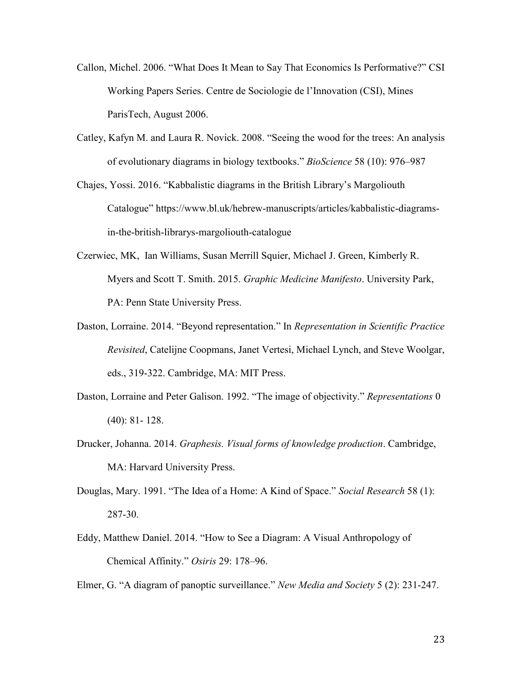- Callon, Michel. 2006. "What Does It Mean to Say That Economics Is Performative?" CSI Working Papers Series. Centre de Sociologie de l'Innovation (CSI), Mines ParisTech, August 2006.
- Catley, Kafyn M. and Laura R. Novick. 2008. "Seeing the wood for the trees: An analysis of evolutionary diagrams in biology textbooks." *BioScience* 58 (10): 976–987
- Chajes, Yossi. 2016. "Kabbalistic diagrams in the British Library's Margoliouth Catalogue" [https://www.bl.uk/hebrew-manuscripts/articles/kabbalistic-diagrams](https://www.bl.uk/hebrew-manuscripts/articles/kabbalistic-diagrams-in-the-british-librarys-margoliouth-catalogue)[in-the-british-librarys-margoliouth-catalogue](https://www.bl.uk/hebrew-manuscripts/articles/kabbalistic-diagrams-in-the-british-librarys-margoliouth-catalogue)
- Czerwiec, MK, Ian Williams, Susan Merrill Squier, Michael J. Green, Kimberly R. Myers and Scott T. Smith. 2015. *Graphic Medicine Manifesto*. University Park, PA: Penn State University Press.
- Daston, Lorraine. 2014. "Beyond representation." In *Representation in Scientific Practice Revisited*, Catelijne Coopmans, Janet Vertesi, Michael Lynch, and Steve Woolgar, eds., 319-322. Cambridge, MA: MIT Press.
- Daston, Lorraine and Peter Galison. 1992. "The image of objectivity." *Representations* 0 (40): 81- 128.
- Drucker, Johanna. 2014. *Graphesis. Visual forms of knowledge production*. Cambridge, MA: Harvard University Press.
- Douglas, Mary. 1991. "The Idea of a Home: A Kind of Space." *Social Research* 58 (1): 287-30.
- Eddy, Matthew Daniel. 2014. "How to See a Diagram: A Visual Anthropology of Chemical Affinity." *Osiris* 29: 178–96.
- Elmer, G. "A diagram of panoptic surveillance." *New Media and Society* 5 (2): 231-247.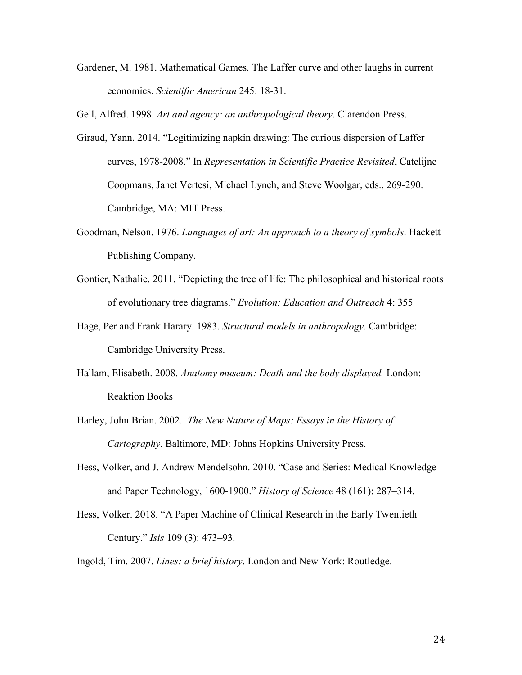Gardener, M. 1981. Mathematical Games. The Laffer curve and other laughs in current economics. *Scientific American* 245: 18-31.

Gell, Alfred. 1998. *Art and agency: an anthropological theory*. Clarendon Press.

- Giraud, Yann. 2014. "Legitimizing napkin drawing: The curious dispersion of Laffer curves, 1978-2008." In *Representation in Scientific Practice Revisited*, Catelijne Coopmans, Janet Vertesi, Michael Lynch, and Steve Woolgar, eds., 269-290. Cambridge, MA: MIT Press.
- Goodman, Nelson. 1976. *Languages of art: An approach to a theory of symbols*. Hackett Publishing Company.
- Gontier, Nathalie. 2011. "Depicting the tree of life: The philosophical and historical roots of evolutionary tree diagrams." *Evolution: Education and Outreach* 4: 355
- Hage, Per and Frank Harary. 1983. *Structural models in anthropology*. Cambridge: Cambridge University Press.
- Hallam, Elisabeth. 2008. *Anatomy museum: Death and the body displayed.* London: Reaktion Books
- Harley, John Brian. 2002. *The New Nature of Maps: Essays in the History of Cartography*. Baltimore, MD: Johns Hopkins University Press.
- Hess, Volker, and J. Andrew Mendelsohn. 2010. "Case and Series: Medical Knowledge and Paper Technology, 1600-1900." *History of Science* 48 (161): 287–314.
- Hess, Volker. 2018. "A Paper Machine of Clinical Research in the Early Twentieth Century." *Isis* 109 (3): 473–93.
- Ingold, Tim. 2007. *Lines: a brief history*. London and New York: Routledge.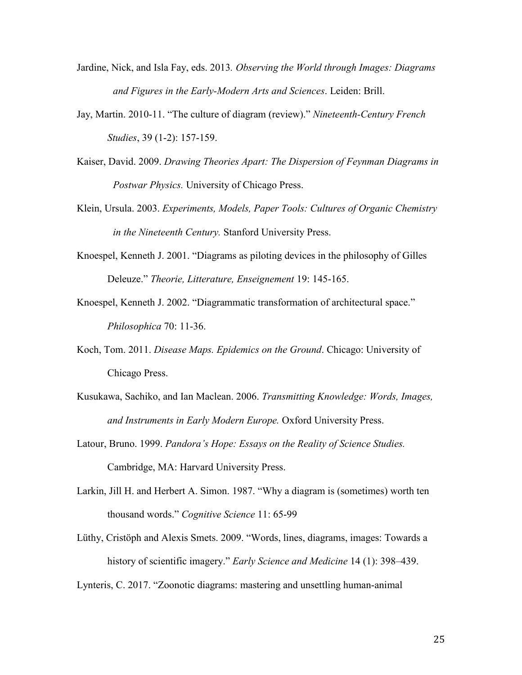- Jardine, Nick, and Isla Fay, eds. 2013*. Observing the World through Images: Diagrams and Figures in the Early-Modern Arts and Sciences*. Leiden: Brill.
- Jay, Martin. 2010-11. "The culture of diagram (review)." *Nineteenth-Century French Studies*, 39 (1-2): 157-159.
- Kaiser, David. 2009. *Drawing Theories Apart: The Dispersion of Feynman Diagrams in Postwar Physics.* University of Chicago Press.
- Klein, Ursula. 2003. *Experiments, Models, Paper Tools: Cultures of Organic Chemistry in the Nineteenth Century.* Stanford University Press.
- Knoespel, Kenneth J. 2001. "Diagrams as piloting devices in the philosophy of Gilles Deleuze." *Theorie, Litterature, Enseignement* 19: 145-165.
- Knoespel, Kenneth J. 2002. "Diagrammatic transformation of architectural space." *Philosophica* 70: 11-36.
- Koch, Tom. 2011. *Disease Maps. Epidemics on the Ground*. Chicago: University of Chicago Press.
- Kusukawa, Sachiko, and Ian Maclean. 2006. *Transmitting Knowledge: Words, Images, and Instruments in Early Modern Europe.* Oxford University Press.
- Latour, Bruno. 1999. *Pandora's Hope: Essays on the Reality of Science Studies.* Cambridge, MA: Harvard University Press.
- Larkin, Jill H. and Herbert A. Simon. 1987. "Why a diagram is (sometimes) worth ten thousand words." *Cognitive Science* 11: 65-99
- Lüthy, Cristöph and Alexis Smets. 2009. "Words, lines, diagrams, images: Towards a history of scientific imagery." *Early Science and Medicine* 14 (1): 398–439.

Lynteris, C. 2017. "Zoonotic diagrams: mastering and unsettling human‐animal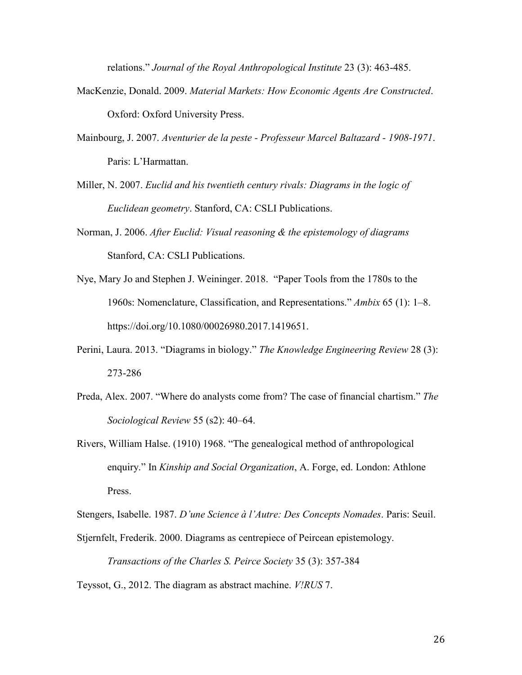relations." *Journal of the Royal Anthropological Institute* 23 (3): 463-485.

- MacKenzie, Donald. 2009. *Material Markets: How Economic Agents Are Constructed*. Oxford: Oxford University Press.
- Mainbourg, J. 2007. *Aventurier de la peste - Professeur Marcel Baltazard - 1908-1971*. Paris: L'Harmattan.
- Miller, N. 2007. *Euclid and his twentieth century rivals: Diagrams in the logic of Euclidean geometry*. Stanford, CA: CSLI Publications.
- Norman, J. 2006. *After Euclid: Visual reasoning & the epistemology of diagrams* Stanford, CA: CSLI Publications.
- Nye, Mary Jo and Stephen J. Weininger. 2018. "Paper Tools from the 1780s to the 1960s: Nomenclature, Classification, and Representations." *Ambix* 65 (1): 1–8. https://doi.org/10.1080/00026980.2017.1419651.
- Perini, Laura. 2013. "Diagrams in biology." *The Knowledge Engineering Review* 28 (3): 273-286
- Preda, Alex. 2007. "Where do analysts come from? The case of financial chartism." *The Sociological Review* 55 (s2): 40–64.

Rivers, William Halse. (1910) 1968. "The genealogical method of anthropological enquiry." In *Kinship and Social Organization*, A. Forge, ed. London: Athlone Press.

Stengers, Isabelle. 1987. *D'une Science à l'Autre: Des Concepts Nomades*. Paris: Seuil.

Stjernfelt, Frederik. 2000. Diagrams as centrepiece of Peircean epistemology. *Transactions of the Charles S. Peirce Society* 35 (3): 357-384

Teyssot, G., 2012. The diagram as abstract machine. *V!RUS* 7.